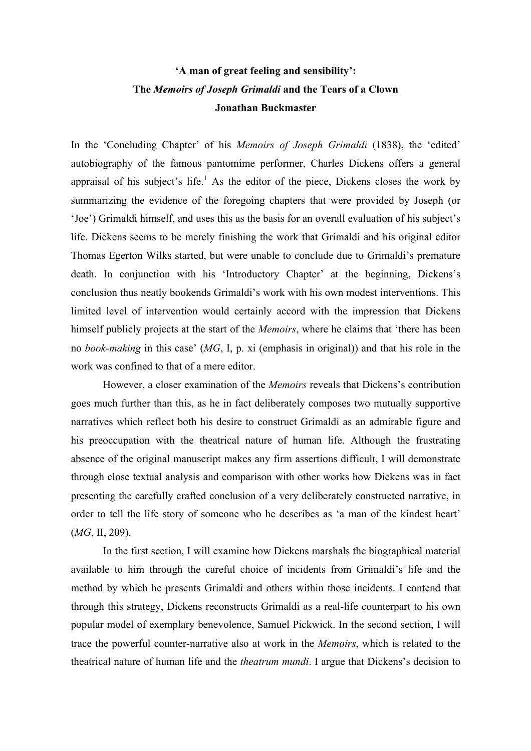# **'A man of great feeling and sensibility': The** *Memoirs of Joseph Grimaldi* **and the Tears of a Clown Jonathan Buckmaster**

In the 'Concluding Chapter' of his *Memoirs of Joseph Grimaldi* (1838), the 'edited' autobiography of the famous pantomime performer, Charles Dickens offers a general appraisal of his subject's life.<sup>1</sup> As the editor of the piece, Dickens closes the work by summarizing the evidence of the foregoing chapters that were provided by Joseph (or 'Joe') Grimaldi himself, and uses this as the basis for an overall evaluation of his subject's life. Dickens seems to be merely finishing the work that Grimaldi and his original editor Thomas Egerton Wilks started, but were unable to conclude due to Grimaldi's premature death. In conjunction with his 'Introductory Chapter' at the beginning, Dickens's conclusion thus neatly bookends Grimaldi's work with his own modest interventions. This limited level of intervention would certainly accord with the impression that Dickens himself publicly projects at the start of the *Memoirs*, where he claims that 'there has been no *book-making* in this case' (*MG*, I, p. xi (emphasis in original)) and that his role in the work was confined to that of a mere editor.

However, a closer examination of the *Memoirs* reveals that Dickens's contribution goes much further than this, as he in fact deliberately composes two mutually supportive narratives which reflect both his desire to construct Grimaldi as an admirable figure and his preoccupation with the theatrical nature of human life. Although the frustrating absence of the original manuscript makes any firm assertions difficult, I will demonstrate through close textual analysis and comparison with other works how Dickens was in fact presenting the carefully crafted conclusion of a very deliberately constructed narrative, in order to tell the life story of someone who he describes as 'a man of the kindest heart' (*MG*, II, 209).

In the first section, I will examine how Dickens marshals the biographical material available to him through the careful choice of incidents from Grimaldi's life and the method by which he presents Grimaldi and others within those incidents. I contend that through this strategy, Dickens reconstructs Grimaldi as a real-life counterpart to his own popular model of exemplary benevolence, Samuel Pickwick. In the second section, I will trace the powerful counter-narrative also at work in the *Memoirs*, which is related to the theatrical nature of human life and the *theatrum mundi*. I argue that Dickens's decision to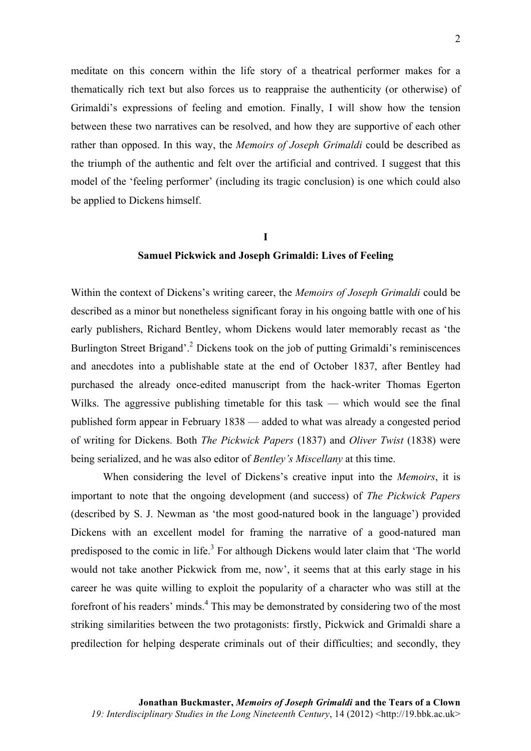meditate on this concern within the life story of a theatrical performer makes for a thematically rich text but also forces us to reappraise the authenticity (or otherwise) of Grimaldi's expressions of feeling and emotion. Finally, I will show how the tension between these two narratives can be resolved, and how they are supportive of each other rather than opposed. In this way, the *Memoirs of Joseph Grimaldi* could be described as the triumph of the authentic and felt over the artificial and contrived. I suggest that this model of the 'feeling performer' (including its tragic conclusion) is one which could also be applied to Dickens himself.

## **I**

### **Samuel Pickwick and Joseph Grimaldi: Lives of Feeling**

Within the context of Dickens's writing career, the *Memoirs of Joseph Grimaldi* could be described as a minor but nonetheless significant foray in his ongoing battle with one of his early publishers, Richard Bentley, whom Dickens would later memorably recast as 'the Burlington Street Brigand'.<sup>2</sup> Dickens took on the job of putting Grimaldi's reminiscences and anecdotes into a publishable state at the end of October 1837, after Bentley had purchased the already once-edited manuscript from the hack-writer Thomas Egerton Wilks. The aggressive publishing timetable for this task — which would see the final published form appear in February 1838 — added to what was already a congested period of writing for Dickens. Both *The Pickwick Papers* (1837) and *Oliver Twist* (1838) were being serialized, and he was also editor of *Bentley's Miscellany* at this time.

When considering the level of Dickens's creative input into the *Memoirs*, it is important to note that the ongoing development (and success) of *The Pickwick Papers* (described by S. J. Newman as 'the most good-natured book in the language') provided Dickens with an excellent model for framing the narrative of a good-natured man predisposed to the comic in life.<sup>3</sup> For although Dickens would later claim that 'The world would not take another Pickwick from me, now', it seems that at this early stage in his career he was quite willing to exploit the popularity of a character who was still at the forefront of his readers' minds.<sup>4</sup> This may be demonstrated by considering two of the most striking similarities between the two protagonists: firstly, Pickwick and Grimaldi share a predilection for helping desperate criminals out of their difficulties; and secondly, they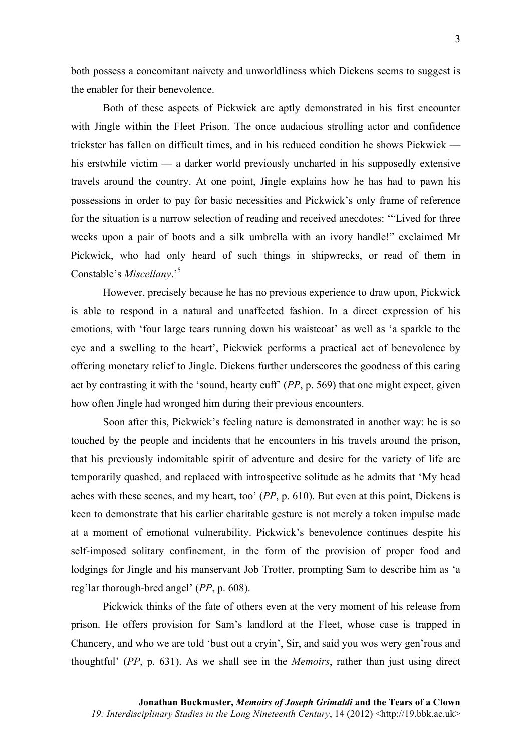both possess a concomitant naivety and unworldliness which Dickens seems to suggest is the enabler for their benevolence.

Both of these aspects of Pickwick are aptly demonstrated in his first encounter with Jingle within the Fleet Prison. The once audacious strolling actor and confidence trickster has fallen on difficult times, and in his reduced condition he shows Pickwick his erstwhile victim — a darker world previously uncharted in his supposedly extensive travels around the country. At one point, Jingle explains how he has had to pawn his possessions in order to pay for basic necessities and Pickwick's only frame of reference for the situation is a narrow selection of reading and received anecdotes: '"Lived for three weeks upon a pair of boots and a silk umbrella with an ivory handle!" exclaimed Mr Pickwick, who had only heard of such things in shipwrecks, or read of them in Constable's *Miscellany*.'5

However, precisely because he has no previous experience to draw upon, Pickwick is able to respond in a natural and unaffected fashion. In a direct expression of his emotions, with 'four large tears running down his waistcoat' as well as 'a sparkle to the eye and a swelling to the heart', Pickwick performs a practical act of benevolence by offering monetary relief to Jingle. Dickens further underscores the goodness of this caring act by contrasting it with the 'sound, hearty cuff' (*PP*, p. 569) that one might expect, given how often Jingle had wronged him during their previous encounters.

Soon after this, Pickwick's feeling nature is demonstrated in another way: he is so touched by the people and incidents that he encounters in his travels around the prison, that his previously indomitable spirit of adventure and desire for the variety of life are temporarily quashed, and replaced with introspective solitude as he admits that 'My head aches with these scenes, and my heart, too' (*PP*, p. 610). But even at this point, Dickens is keen to demonstrate that his earlier charitable gesture is not merely a token impulse made at a moment of emotional vulnerability. Pickwick's benevolence continues despite his self-imposed solitary confinement, in the form of the provision of proper food and lodgings for Jingle and his manservant Job Trotter, prompting Sam to describe him as 'a reg'lar thorough-bred angel' (*PP*, p. 608).

Pickwick thinks of the fate of others even at the very moment of his release from prison. He offers provision for Sam's landlord at the Fleet, whose case is trapped in Chancery, and who we are told 'bust out a cryin', Sir, and said you wos wery gen'rous and thoughtful' (*PP*, p. 631). As we shall see in the *Memoirs*, rather than just using direct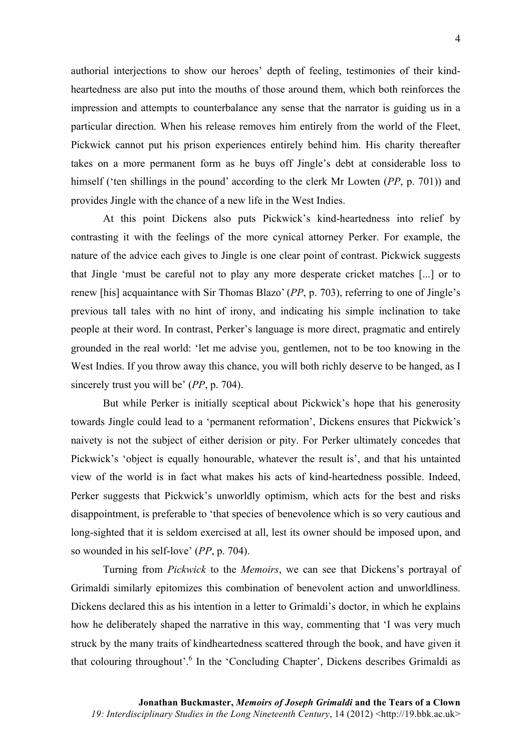authorial interjections to show our heroes' depth of feeling, testimonies of their kindheartedness are also put into the mouths of those around them, which both reinforces the impression and attempts to counterbalance any sense that the narrator is guiding us in a particular direction. When his release removes him entirely from the world of the Fleet, Pickwick cannot put his prison experiences entirely behind him. His charity thereafter takes on a more permanent form as he buys off Jingle's debt at considerable loss to himself ('ten shillings in the pound' according to the clerk Mr Lowten (*PP*, p. 701)) and provides Jingle with the chance of a new life in the West Indies.

At this point Dickens also puts Pickwick's kind-heartedness into relief by contrasting it with the feelings of the more cynical attorney Perker. For example, the nature of the advice each gives to Jingle is one clear point of contrast. Pickwick suggests that Jingle 'must be careful not to play any more desperate cricket matches [...] or to renew [his] acquaintance with Sir Thomas Blazo' (*PP*, p. 703), referring to one of Jingle's previous tall tales with no hint of irony, and indicating his simple inclination to take people at their word. In contrast, Perker's language is more direct, pragmatic and entirely grounded in the real world: 'let me advise you, gentlemen, not to be too knowing in the West Indies. If you throw away this chance, you will both richly deserve to be hanged, as I sincerely trust you will be' (*PP*, p. 704).

But while Perker is initially sceptical about Pickwick's hope that his generosity towards Jingle could lead to a 'permanent reformation', Dickens ensures that Pickwick's naivety is not the subject of either derision or pity. For Perker ultimately concedes that Pickwick's 'object is equally honourable, whatever the result is', and that his untainted view of the world is in fact what makes his acts of kind-heartedness possible. Indeed, Perker suggests that Pickwick's unworldly optimism, which acts for the best and risks disappointment, is preferable to 'that species of benevolence which is so very cautious and long-sighted that it is seldom exercised at all, lest its owner should be imposed upon, and so wounded in his self-love' (*PP*, p. 704).

Turning from *Pickwick* to the *Memoirs*, we can see that Dickens's portrayal of Grimaldi similarly epitomizes this combination of benevolent action and unworldliness. Dickens declared this as his intention in a letter to Grimaldi's doctor, in which he explains how he deliberately shaped the narrative in this way, commenting that 'I was very much struck by the many traits of kindheartedness scattered through the book, and have given it that colouring throughout'.<sup>6</sup> In the 'Concluding Chapter', Dickens describes Grimaldi as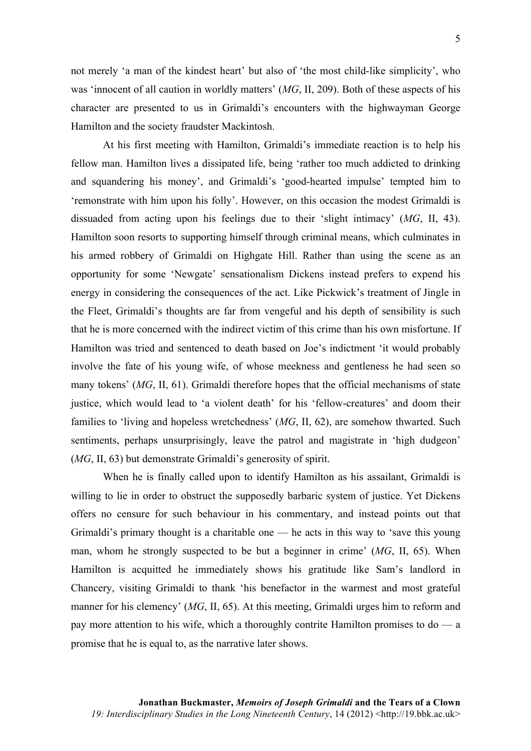not merely 'a man of the kindest heart' but also of 'the most child-like simplicity', who was 'innocent of all caution in worldly matters' (*MG*, II, 209). Both of these aspects of his character are presented to us in Grimaldi's encounters with the highwayman George Hamilton and the society fraudster Mackintosh.

At his first meeting with Hamilton, Grimaldi's immediate reaction is to help his fellow man. Hamilton lives a dissipated life, being 'rather too much addicted to drinking and squandering his money', and Grimaldi's 'good-hearted impulse' tempted him to 'remonstrate with him upon his folly'. However, on this occasion the modest Grimaldi is dissuaded from acting upon his feelings due to their 'slight intimacy' (*MG*, II, 43). Hamilton soon resorts to supporting himself through criminal means, which culminates in his armed robbery of Grimaldi on Highgate Hill. Rather than using the scene as an opportunity for some 'Newgate' sensationalism Dickens instead prefers to expend his energy in considering the consequences of the act. Like Pickwick's treatment of Jingle in the Fleet, Grimaldi's thoughts are far from vengeful and his depth of sensibility is such that he is more concerned with the indirect victim of this crime than his own misfortune. If Hamilton was tried and sentenced to death based on Joe's indictment 'it would probably involve the fate of his young wife, of whose meekness and gentleness he had seen so many tokens' (*MG*, II, 61). Grimaldi therefore hopes that the official mechanisms of state justice, which would lead to 'a violent death' for his 'fellow-creatures' and doom their families to 'living and hopeless wretchedness' (*MG*, II, 62), are somehow thwarted. Such sentiments, perhaps unsurprisingly, leave the patrol and magistrate in 'high dudgeon' (*MG*, II, 63) but demonstrate Grimaldi's generosity of spirit.

When he is finally called upon to identify Hamilton as his assailant, Grimaldi is willing to lie in order to obstruct the supposedly barbaric system of justice. Yet Dickens offers no censure for such behaviour in his commentary, and instead points out that Grimaldi's primary thought is a charitable one — he acts in this way to 'save this young man, whom he strongly suspected to be but a beginner in crime' (*MG*, II, 65). When Hamilton is acquitted he immediately shows his gratitude like Sam's landlord in Chancery, visiting Grimaldi to thank 'his benefactor in the warmest and most grateful manner for his clemency' (*MG*, II, 65). At this meeting, Grimaldi urges him to reform and pay more attention to his wife, which a thoroughly contrite Hamilton promises to  $d\sigma - a$ promise that he is equal to, as the narrative later shows.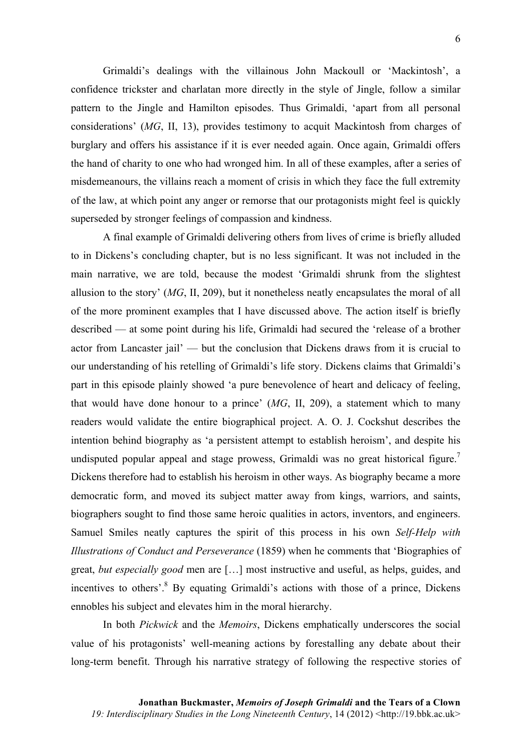Grimaldi's dealings with the villainous John Mackoull or 'Mackintosh', a confidence trickster and charlatan more directly in the style of Jingle, follow a similar pattern to the Jingle and Hamilton episodes. Thus Grimaldi, 'apart from all personal considerations' (*MG*, II, 13), provides testimony to acquit Mackintosh from charges of burglary and offers his assistance if it is ever needed again. Once again, Grimaldi offers the hand of charity to one who had wronged him. In all of these examples, after a series of misdemeanours, the villains reach a moment of crisis in which they face the full extremity of the law, at which point any anger or remorse that our protagonists might feel is quickly superseded by stronger feelings of compassion and kindness.

A final example of Grimaldi delivering others from lives of crime is briefly alluded to in Dickens's concluding chapter, but is no less significant. It was not included in the main narrative, we are told, because the modest 'Grimaldi shrunk from the slightest allusion to the story' (*MG*, II, 209), but it nonetheless neatly encapsulates the moral of all of the more prominent examples that I have discussed above. The action itself is briefly described — at some point during his life, Grimaldi had secured the 'release of a brother actor from Lancaster jail' — but the conclusion that Dickens draws from it is crucial to our understanding of his retelling of Grimaldi's life story. Dickens claims that Grimaldi's part in this episode plainly showed 'a pure benevolence of heart and delicacy of feeling, that would have done honour to a prince' (*MG*, II, 209), a statement which to many readers would validate the entire biographical project. A. O. J. Cockshut describes the intention behind biography as 'a persistent attempt to establish heroism', and despite his undisputed popular appeal and stage prowess, Grimaldi was no great historical figure.<sup>7</sup> Dickens therefore had to establish his heroism in other ways. As biography became a more democratic form, and moved its subject matter away from kings, warriors, and saints, biographers sought to find those same heroic qualities in actors, inventors, and engineers. Samuel Smiles neatly captures the spirit of this process in his own *Self-Help with Illustrations of Conduct and Perseverance* (1859) when he comments that 'Biographies of great, *but especially good* men are […] most instructive and useful, as helps, guides, and incentives to others'.<sup>8</sup> By equating Grimaldi's actions with those of a prince, Dickens ennobles his subject and elevates him in the moral hierarchy.

In both *Pickwick* and the *Memoirs*, Dickens emphatically underscores the social value of his protagonists' well-meaning actions by forestalling any debate about their long-term benefit. Through his narrative strategy of following the respective stories of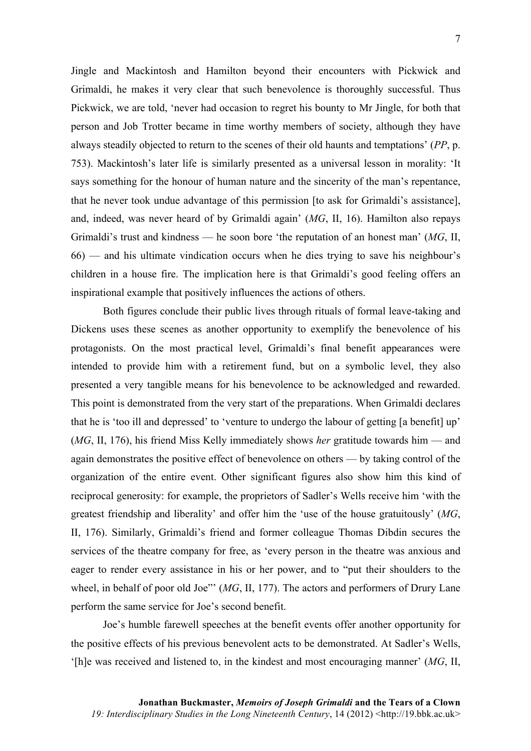Jingle and Mackintosh and Hamilton beyond their encounters with Pickwick and Grimaldi, he makes it very clear that such benevolence is thoroughly successful. Thus Pickwick, we are told, 'never had occasion to regret his bounty to Mr Jingle, for both that person and Job Trotter became in time worthy members of society, although they have always steadily objected to return to the scenes of their old haunts and temptations' (*PP*, p. 753). Mackintosh's later life is similarly presented as a universal lesson in morality: 'It says something for the honour of human nature and the sincerity of the man's repentance, that he never took undue advantage of this permission [to ask for Grimaldi's assistance], and, indeed, was never heard of by Grimaldi again' (*MG*, II, 16). Hamilton also repays Grimaldi's trust and kindness — he soon bore 'the reputation of an honest man' (*MG*, II, 66) — and his ultimate vindication occurs when he dies trying to save his neighbour's children in a house fire. The implication here is that Grimaldi's good feeling offers an inspirational example that positively influences the actions of others.

Both figures conclude their public lives through rituals of formal leave-taking and Dickens uses these scenes as another opportunity to exemplify the benevolence of his protagonists. On the most practical level, Grimaldi's final benefit appearances were intended to provide him with a retirement fund, but on a symbolic level, they also presented a very tangible means for his benevolence to be acknowledged and rewarded. This point is demonstrated from the very start of the preparations. When Grimaldi declares that he is 'too ill and depressed' to 'venture to undergo the labour of getting [a benefit] up' (*MG*, II, 176), his friend Miss Kelly immediately shows *her* gratitude towards him — and again demonstrates the positive effect of benevolence on others — by taking control of the organization of the entire event. Other significant figures also show him this kind of reciprocal generosity: for example, the proprietors of Sadler's Wells receive him 'with the greatest friendship and liberality' and offer him the 'use of the house gratuitously' (*MG*, II, 176). Similarly, Grimaldi's friend and former colleague Thomas Dibdin secures the services of the theatre company for free, as 'every person in the theatre was anxious and eager to render every assistance in his or her power, and to "put their shoulders to the wheel, in behalf of poor old Joe"' (*MG*, II, 177). The actors and performers of Drury Lane perform the same service for Joe's second benefit.

Joe's humble farewell speeches at the benefit events offer another opportunity for the positive effects of his previous benevolent acts to be demonstrated. At Sadler's Wells, '[h]e was received and listened to, in the kindest and most encouraging manner' (*MG*, II,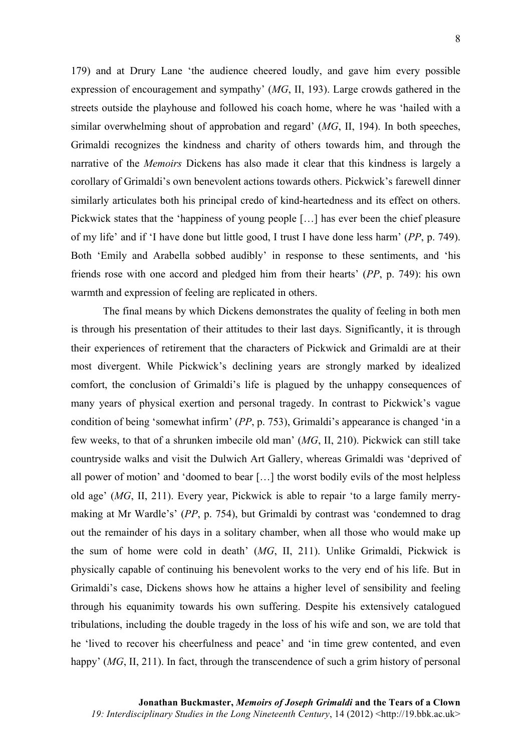179) and at Drury Lane 'the audience cheered loudly, and gave him every possible expression of encouragement and sympathy' (*MG*, II, 193). Large crowds gathered in the streets outside the playhouse and followed his coach home, where he was 'hailed with a similar overwhelming shout of approbation and regard' (*MG*, II, 194). In both speeches, Grimaldi recognizes the kindness and charity of others towards him, and through the narrative of the *Memoirs* Dickens has also made it clear that this kindness is largely a corollary of Grimaldi's own benevolent actions towards others. Pickwick's farewell dinner similarly articulates both his principal credo of kind-heartedness and its effect on others. Pickwick states that the 'happiness of young people […] has ever been the chief pleasure of my life' and if 'I have done but little good, I trust I have done less harm' (*PP*, p. 749). Both 'Emily and Arabella sobbed audibly' in response to these sentiments, and 'his friends rose with one accord and pledged him from their hearts' (*PP*, p. 749): his own warmth and expression of feeling are replicated in others.

The final means by which Dickens demonstrates the quality of feeling in both men is through his presentation of their attitudes to their last days. Significantly, it is through their experiences of retirement that the characters of Pickwick and Grimaldi are at their most divergent. While Pickwick's declining years are strongly marked by idealized comfort, the conclusion of Grimaldi's life is plagued by the unhappy consequences of many years of physical exertion and personal tragedy. In contrast to Pickwick's vague condition of being 'somewhat infirm' (*PP*, p. 753), Grimaldi's appearance is changed 'in a few weeks, to that of a shrunken imbecile old man' (*MG*, II, 210). Pickwick can still take countryside walks and visit the Dulwich Art Gallery, whereas Grimaldi was 'deprived of all power of motion' and 'doomed to bear […] the worst bodily evils of the most helpless old age' (*MG*, II, 211). Every year, Pickwick is able to repair 'to a large family merrymaking at Mr Wardle's' (*PP*, p. 754), but Grimaldi by contrast was 'condemned to drag out the remainder of his days in a solitary chamber, when all those who would make up the sum of home were cold in death' (*MG*, II, 211). Unlike Grimaldi, Pickwick is physically capable of continuing his benevolent works to the very end of his life. But in Grimaldi's case, Dickens shows how he attains a higher level of sensibility and feeling through his equanimity towards his own suffering. Despite his extensively catalogued tribulations, including the double tragedy in the loss of his wife and son, we are told that he 'lived to recover his cheerfulness and peace' and 'in time grew contented, and even happy' (*MG*, II, 211). In fact, through the transcendence of such a grim history of personal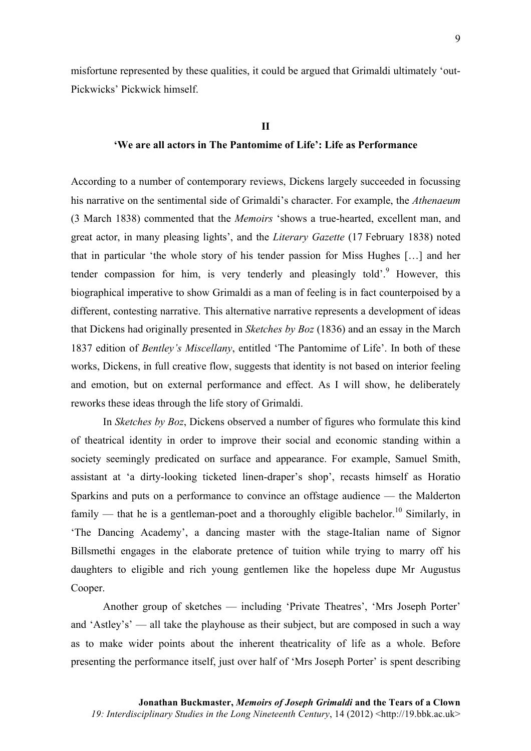misfortune represented by these qualities, it could be argued that Grimaldi ultimately 'out-Pickwicks' Pickwick himself.

#### **II**

### **'We are all actors in The Pantomime of Life': Life as Performance**

According to a number of contemporary reviews, Dickens largely succeeded in focussing his narrative on the sentimental side of Grimaldi's character. For example, the *Athenaeum* (3 March 1838) commented that the *Memoirs* 'shows a true-hearted, excellent man, and great actor, in many pleasing lights', and the *Literary Gazette* (17 February 1838) noted that in particular 'the whole story of his tender passion for Miss Hughes […] and her tender compassion for him, is very tenderly and pleasingly told'.<sup>9</sup> However, this biographical imperative to show Grimaldi as a man of feeling is in fact counterpoised by a different, contesting narrative. This alternative narrative represents a development of ideas that Dickens had originally presented in *Sketches by Boz* (1836) and an essay in the March 1837 edition of *Bentley's Miscellany*, entitled 'The Pantomime of Life'. In both of these works, Dickens, in full creative flow, suggests that identity is not based on interior feeling and emotion, but on external performance and effect. As I will show, he deliberately reworks these ideas through the life story of Grimaldi.

In *Sketches by Boz*, Dickens observed a number of figures who formulate this kind of theatrical identity in order to improve their social and economic standing within a society seemingly predicated on surface and appearance. For example, Samuel Smith, assistant at 'a dirty-looking ticketed linen-draper's shop', recasts himself as Horatio Sparkins and puts on a performance to convince an offstage audience — the Malderton family — that he is a gentleman-poet and a thoroughly eligible bachelor.<sup>10</sup> Similarly, in 'The Dancing Academy', a dancing master with the stage-Italian name of Signor Billsmethi engages in the elaborate pretence of tuition while trying to marry off his daughters to eligible and rich young gentlemen like the hopeless dupe Mr Augustus Cooper.

Another group of sketches — including 'Private Theatres', 'Mrs Joseph Porter' and 'Astley's' — all take the playhouse as their subject, but are composed in such a way as to make wider points about the inherent theatricality of life as a whole. Before presenting the performance itself, just over half of 'Mrs Joseph Porter' is spent describing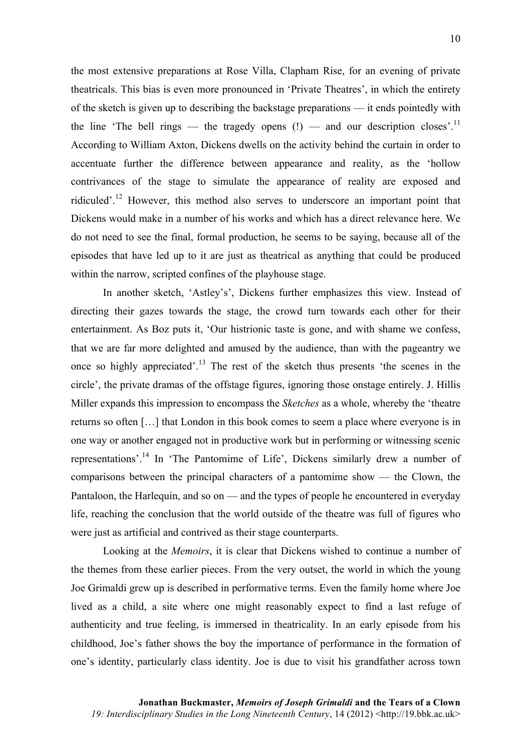the most extensive preparations at Rose Villa, Clapham Rise, for an evening of private theatricals. This bias is even more pronounced in 'Private Theatres', in which the entirety of the sketch is given up to describing the backstage preparations — it ends pointedly with the line 'The bell rings — the tragedy opens  $(!)$  — and our description closes'.<sup>11</sup> According to William Axton, Dickens dwells on the activity behind the curtain in order to accentuate further the difference between appearance and reality, as the 'hollow contrivances of the stage to simulate the appearance of reality are exposed and ridiculed'.<sup>12</sup> However, this method also serves to underscore an important point that Dickens would make in a number of his works and which has a direct relevance here. We do not need to see the final, formal production, he seems to be saying, because all of the episodes that have led up to it are just as theatrical as anything that could be produced within the narrow, scripted confines of the playhouse stage.

In another sketch, 'Astley's', Dickens further emphasizes this view. Instead of directing their gazes towards the stage, the crowd turn towards each other for their entertainment. As Boz puts it, 'Our histrionic taste is gone, and with shame we confess, that we are far more delighted and amused by the audience, than with the pageantry we once so highly appreciated'.<sup>13</sup> The rest of the sketch thus presents 'the scenes in the circle', the private dramas of the offstage figures, ignoring those onstage entirely. J. Hillis Miller expands this impression to encompass the *Sketches* as a whole, whereby the 'theatre returns so often […] that London in this book comes to seem a place where everyone is in one way or another engaged not in productive work but in performing or witnessing scenic representations'.<sup>14</sup> In 'The Pantomime of Life', Dickens similarly drew a number of comparisons between the principal characters of a pantomime show — the Clown, the Pantaloon, the Harlequin, and so on — and the types of people he encountered in everyday life, reaching the conclusion that the world outside of the theatre was full of figures who were just as artificial and contrived as their stage counterparts.

Looking at the *Memoirs*, it is clear that Dickens wished to continue a number of the themes from these earlier pieces. From the very outset, the world in which the young Joe Grimaldi grew up is described in performative terms. Even the family home where Joe lived as a child, a site where one might reasonably expect to find a last refuge of authenticity and true feeling, is immersed in theatricality. In an early episode from his childhood, Joe's father shows the boy the importance of performance in the formation of one's identity, particularly class identity. Joe is due to visit his grandfather across town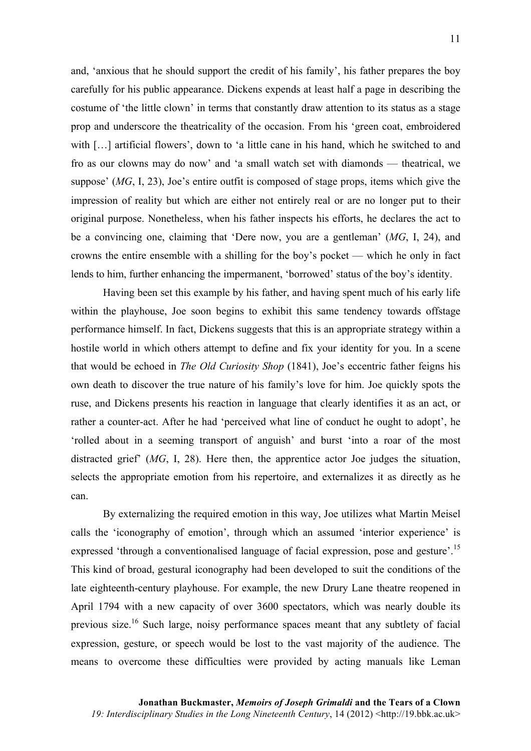and, 'anxious that he should support the credit of his family', his father prepares the boy carefully for his public appearance. Dickens expends at least half a page in describing the costume of 'the little clown' in terms that constantly draw attention to its status as a stage prop and underscore the theatricality of the occasion. From his 'green coat, embroidered with [...] artificial flowers', down to 'a little cane in his hand, which he switched to and fro as our clowns may do now' and 'a small watch set with diamonds — theatrical, we suppose' (*MG*, I, 23), Joe's entire outfit is composed of stage props, items which give the impression of reality but which are either not entirely real or are no longer put to their original purpose. Nonetheless, when his father inspects his efforts, he declares the act to be a convincing one, claiming that 'Dere now, you are a gentleman' (*MG*, I, 24), and crowns the entire ensemble with a shilling for the boy's pocket — which he only in fact lends to him, further enhancing the impermanent, 'borrowed' status of the boy's identity.

Having been set this example by his father, and having spent much of his early life within the playhouse, Joe soon begins to exhibit this same tendency towards offstage performance himself. In fact, Dickens suggests that this is an appropriate strategy within a hostile world in which others attempt to define and fix your identity for you. In a scene that would be echoed in *The Old Curiosity Shop* (1841), Joe's eccentric father feigns his own death to discover the true nature of his family's love for him. Joe quickly spots the ruse, and Dickens presents his reaction in language that clearly identifies it as an act, or rather a counter-act. After he had 'perceived what line of conduct he ought to adopt', he 'rolled about in a seeming transport of anguish' and burst 'into a roar of the most distracted grief' (*MG*, I, 28). Here then, the apprentice actor Joe judges the situation, selects the appropriate emotion from his repertoire, and externalizes it as directly as he can.

By externalizing the required emotion in this way, Joe utilizes what Martin Meisel calls the 'iconography of emotion', through which an assumed 'interior experience' is expressed 'through a conventionalised language of facial expression, pose and gesture'.<sup>15</sup> This kind of broad, gestural iconography had been developed to suit the conditions of the late eighteenth-century playhouse. For example, the new Drury Lane theatre reopened in April 1794 with a new capacity of over 3600 spectators, which was nearly double its previous size.16 Such large, noisy performance spaces meant that any subtlety of facial expression, gesture, or speech would be lost to the vast majority of the audience. The means to overcome these difficulties were provided by acting manuals like Leman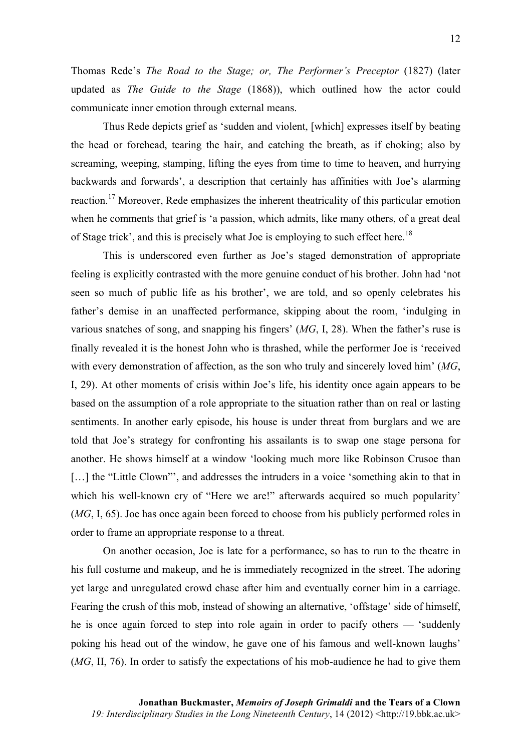Thomas Rede's *The Road to the Stage; or, The Performer's Preceptor* (1827) (later updated as *The Guide to the Stage* (1868)), which outlined how the actor could communicate inner emotion through external means.

Thus Rede depicts grief as 'sudden and violent, [which] expresses itself by beating the head or forehead, tearing the hair, and catching the breath, as if choking; also by screaming, weeping, stamping, lifting the eyes from time to time to heaven, and hurrying backwards and forwards', a description that certainly has affinities with Joe's alarming reaction.<sup>17</sup> Moreover, Rede emphasizes the inherent theatricality of this particular emotion when he comments that grief is 'a passion, which admits, like many others, of a great deal of Stage trick', and this is precisely what Joe is employing to such effect here.<sup>18</sup>

This is underscored even further as Joe's staged demonstration of appropriate feeling is explicitly contrasted with the more genuine conduct of his brother. John had 'not seen so much of public life as his brother', we are told, and so openly celebrates his father's demise in an unaffected performance, skipping about the room, 'indulging in various snatches of song, and snapping his fingers' (*MG*, I, 28). When the father's ruse is finally revealed it is the honest John who is thrashed, while the performer Joe is 'received with every demonstration of affection, as the son who truly and sincerely loved him' (*MG*, I, 29). At other moments of crisis within Joe's life, his identity once again appears to be based on the assumption of a role appropriate to the situation rather than on real or lasting sentiments. In another early episode, his house is under threat from burglars and we are told that Joe's strategy for confronting his assailants is to swap one stage persona for another. He shows himself at a window 'looking much more like Robinson Crusoe than [...] the "Little Clown"', and addresses the intruders in a voice 'something akin to that in which his well-known cry of "Here we are!" afterwards acquired so much popularity' (*MG*, I, 65). Joe has once again been forced to choose from his publicly performed roles in order to frame an appropriate response to a threat.

On another occasion, Joe is late for a performance, so has to run to the theatre in his full costume and makeup, and he is immediately recognized in the street. The adoring yet large and unregulated crowd chase after him and eventually corner him in a carriage. Fearing the crush of this mob, instead of showing an alternative, 'offstage' side of himself, he is once again forced to step into role again in order to pacify others — 'suddenly poking his head out of the window, he gave one of his famous and well-known laughs' (*MG*, II, 76). In order to satisfy the expectations of his mob-audience he had to give them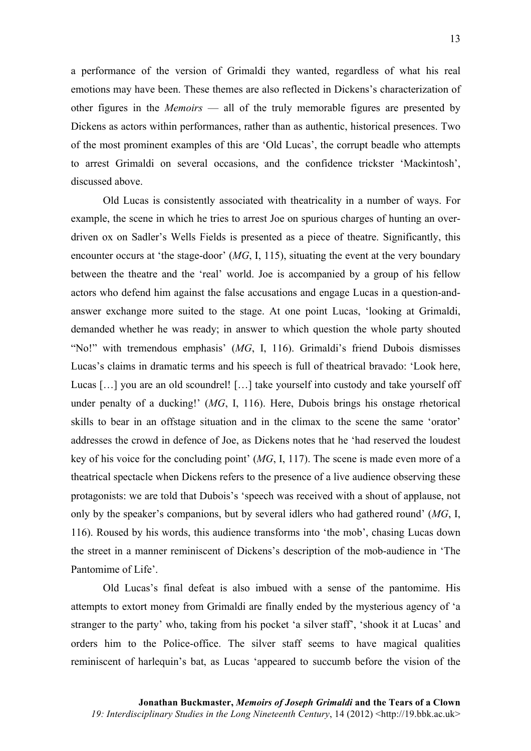13

a performance of the version of Grimaldi they wanted, regardless of what his real emotions may have been. These themes are also reflected in Dickens's characterization of other figures in the *Memoirs* — all of the truly memorable figures are presented by Dickens as actors within performances, rather than as authentic, historical presences. Two of the most prominent examples of this are 'Old Lucas', the corrupt beadle who attempts to arrest Grimaldi on several occasions, and the confidence trickster 'Mackintosh', discussed above.

Old Lucas is consistently associated with theatricality in a number of ways. For example, the scene in which he tries to arrest Joe on spurious charges of hunting an overdriven ox on Sadler's Wells Fields is presented as a piece of theatre. Significantly, this encounter occurs at 'the stage-door' (*MG*, I, 115), situating the event at the very boundary between the theatre and the 'real' world. Joe is accompanied by a group of his fellow actors who defend him against the false accusations and engage Lucas in a question-andanswer exchange more suited to the stage. At one point Lucas, 'looking at Grimaldi, demanded whether he was ready; in answer to which question the whole party shouted "No!" with tremendous emphasis' (*MG*, I, 116). Grimaldi's friend Dubois dismisses Lucas's claims in dramatic terms and his speech is full of theatrical bravado: 'Look here, Lucas [...] you are an old scoundrel! [...] take yourself into custody and take yourself off under penalty of a ducking!' (*MG*, I, 116). Here, Dubois brings his onstage rhetorical skills to bear in an offstage situation and in the climax to the scene the same 'orator' addresses the crowd in defence of Joe, as Dickens notes that he 'had reserved the loudest key of his voice for the concluding point' (*MG*, I, 117). The scene is made even more of a theatrical spectacle when Dickens refers to the presence of a live audience observing these protagonists: we are told that Dubois's 'speech was received with a shout of applause, not only by the speaker's companions, but by several idlers who had gathered round' (*MG*, I, 116). Roused by his words, this audience transforms into 'the mob', chasing Lucas down the street in a manner reminiscent of Dickens's description of the mob-audience in 'The Pantomime of Life'.

Old Lucas's final defeat is also imbued with a sense of the pantomime. His attempts to extort money from Grimaldi are finally ended by the mysterious agency of 'a stranger to the party' who, taking from his pocket 'a silver staff', 'shook it at Lucas' and orders him to the Police-office. The silver staff seems to have magical qualities reminiscent of harlequin's bat, as Lucas 'appeared to succumb before the vision of the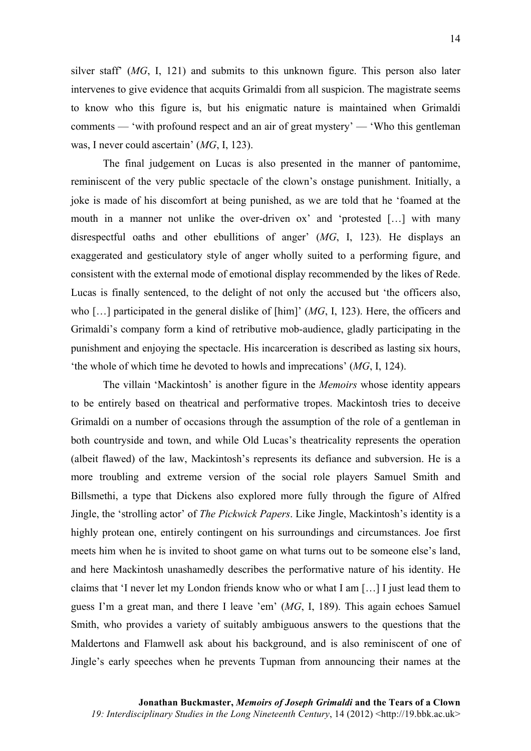silver staff' (*MG*, I, 121) and submits to this unknown figure. This person also later intervenes to give evidence that acquits Grimaldi from all suspicion. The magistrate seems to know who this figure is, but his enigmatic nature is maintained when Grimaldi comments — 'with profound respect and an air of great mystery' — 'Who this gentleman was, I never could ascertain' (*MG*, I, 123).

The final judgement on Lucas is also presented in the manner of pantomime, reminiscent of the very public spectacle of the clown's onstage punishment. Initially, a joke is made of his discomfort at being punished, as we are told that he 'foamed at the mouth in a manner not unlike the over-driven ox' and 'protested […] with many disrespectful oaths and other ebullitions of anger' (*MG*, I, 123). He displays an exaggerated and gesticulatory style of anger wholly suited to a performing figure, and consistent with the external mode of emotional display recommended by the likes of Rede. Lucas is finally sentenced, to the delight of not only the accused but 'the officers also, who […] participated in the general dislike of [him]' (*MG*, I, 123). Here, the officers and Grimaldi's company form a kind of retributive mob-audience, gladly participating in the punishment and enjoying the spectacle. His incarceration is described as lasting six hours, 'the whole of which time he devoted to howls and imprecations' (*MG*, I, 124).

The villain 'Mackintosh' is another figure in the *Memoirs* whose identity appears to be entirely based on theatrical and performative tropes. Mackintosh tries to deceive Grimaldi on a number of occasions through the assumption of the role of a gentleman in both countryside and town, and while Old Lucas's theatricality represents the operation (albeit flawed) of the law, Mackintosh's represents its defiance and subversion. He is a more troubling and extreme version of the social role players Samuel Smith and Billsmethi, a type that Dickens also explored more fully through the figure of Alfred Jingle, the 'strolling actor' of *The Pickwick Papers*. Like Jingle, Mackintosh's identity is a highly protean one, entirely contingent on his surroundings and circumstances. Joe first meets him when he is invited to shoot game on what turns out to be someone else's land, and here Mackintosh unashamedly describes the performative nature of his identity. He claims that 'I never let my London friends know who or what I am […] I just lead them to guess I'm a great man, and there I leave 'em' (*MG*, I, 189). This again echoes Samuel Smith, who provides a variety of suitably ambiguous answers to the questions that the Maldertons and Flamwell ask about his background, and is also reminiscent of one of Jingle's early speeches when he prevents Tupman from announcing their names at the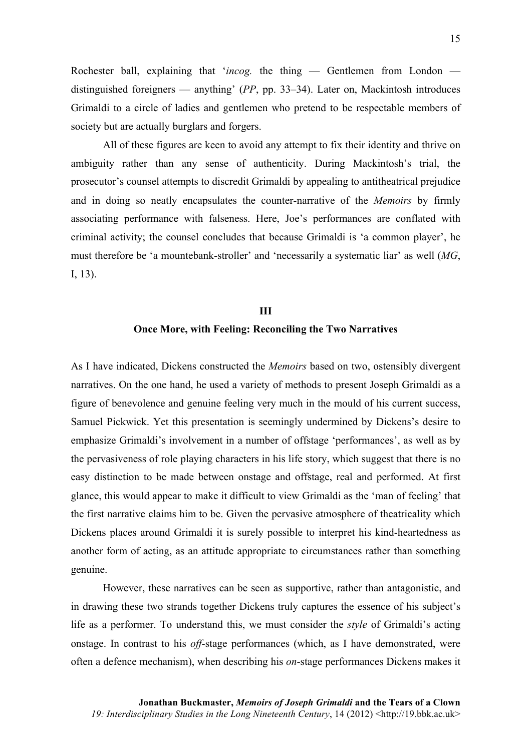Rochester ball, explaining that '*incog.* the thing — Gentlemen from London distinguished foreigners — anything' (*PP*, pp. 33–34). Later on, Mackintosh introduces Grimaldi to a circle of ladies and gentlemen who pretend to be respectable members of society but are actually burglars and forgers.

All of these figures are keen to avoid any attempt to fix their identity and thrive on ambiguity rather than any sense of authenticity. During Mackintosh's trial, the prosecutor's counsel attempts to discredit Grimaldi by appealing to antitheatrical prejudice and in doing so neatly encapsulates the counter-narrative of the *Memoirs* by firmly associating performance with falseness. Here, Joe's performances are conflated with criminal activity; the counsel concludes that because Grimaldi is 'a common player', he must therefore be 'a mountebank-stroller' and 'necessarily a systematic liar' as well (*MG*, I, 13).

# **III Once More, with Feeling: Reconciling the Two Narratives**

As I have indicated, Dickens constructed the *Memoirs* based on two, ostensibly divergent narratives. On the one hand, he used a variety of methods to present Joseph Grimaldi as a figure of benevolence and genuine feeling very much in the mould of his current success, Samuel Pickwick. Yet this presentation is seemingly undermined by Dickens's desire to emphasize Grimaldi's involvement in a number of offstage 'performances', as well as by the pervasiveness of role playing characters in his life story, which suggest that there is no easy distinction to be made between onstage and offstage, real and performed. At first glance, this would appear to make it difficult to view Grimaldi as the 'man of feeling' that the first narrative claims him to be. Given the pervasive atmosphere of theatricality which Dickens places around Grimaldi it is surely possible to interpret his kind-heartedness as another form of acting, as an attitude appropriate to circumstances rather than something genuine.

However, these narratives can be seen as supportive, rather than antagonistic, and in drawing these two strands together Dickens truly captures the essence of his subject's life as a performer. To understand this, we must consider the *style* of Grimaldi's acting onstage. In contrast to his *off*-stage performances (which, as I have demonstrated, were often a defence mechanism), when describing his *on*-stage performances Dickens makes it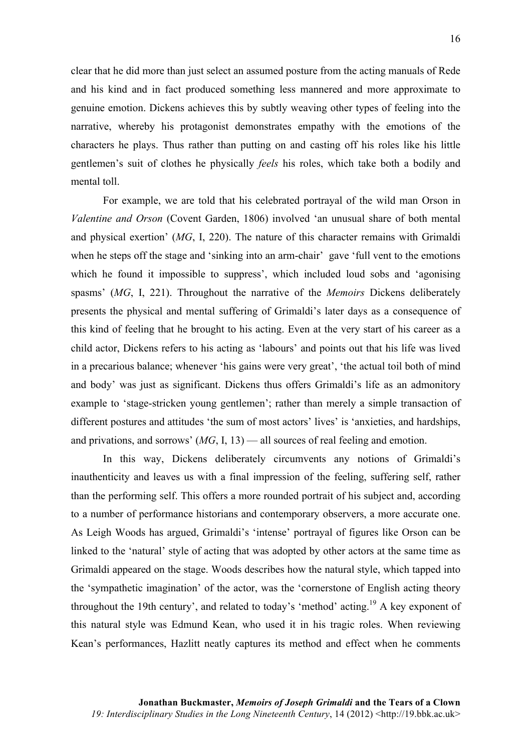clear that he did more than just select an assumed posture from the acting manuals of Rede and his kind and in fact produced something less mannered and more approximate to genuine emotion. Dickens achieves this by subtly weaving other types of feeling into the narrative, whereby his protagonist demonstrates empathy with the emotions of the characters he plays. Thus rather than putting on and casting off his roles like his little gentlemen's suit of clothes he physically *feels* his roles, which take both a bodily and mental toll.

For example, we are told that his celebrated portrayal of the wild man Orson in *Valentine and Orson* (Covent Garden, 1806) involved 'an unusual share of both mental and physical exertion' (*MG*, I, 220). The nature of this character remains with Grimaldi when he steps off the stage and 'sinking into an arm-chair' gave 'full vent to the emotions which he found it impossible to suppress', which included loud sobs and 'agonising spasms' (*MG*, I, 221). Throughout the narrative of the *Memoirs* Dickens deliberately presents the physical and mental suffering of Grimaldi's later days as a consequence of this kind of feeling that he brought to his acting. Even at the very start of his career as a child actor, Dickens refers to his acting as 'labours' and points out that his life was lived in a precarious balance; whenever 'his gains were very great', 'the actual toil both of mind and body' was just as significant. Dickens thus offers Grimaldi's life as an admonitory example to 'stage-stricken young gentlemen'; rather than merely a simple transaction of different postures and attitudes 'the sum of most actors' lives' is 'anxieties, and hardships, and privations, and sorrows' (*MG*, I, 13) — all sources of real feeling and emotion.

In this way, Dickens deliberately circumvents any notions of Grimaldi's inauthenticity and leaves us with a final impression of the feeling, suffering self, rather than the performing self. This offers a more rounded portrait of his subject and, according to a number of performance historians and contemporary observers, a more accurate one. As Leigh Woods has argued, Grimaldi's 'intense' portrayal of figures like Orson can be linked to the 'natural' style of acting that was adopted by other actors at the same time as Grimaldi appeared on the stage. Woods describes how the natural style, which tapped into the 'sympathetic imagination' of the actor, was the 'cornerstone of English acting theory throughout the 19th century', and related to today's 'method' acting.<sup>19</sup> A key exponent of this natural style was Edmund Kean, who used it in his tragic roles. When reviewing Kean's performances, Hazlitt neatly captures its method and effect when he comments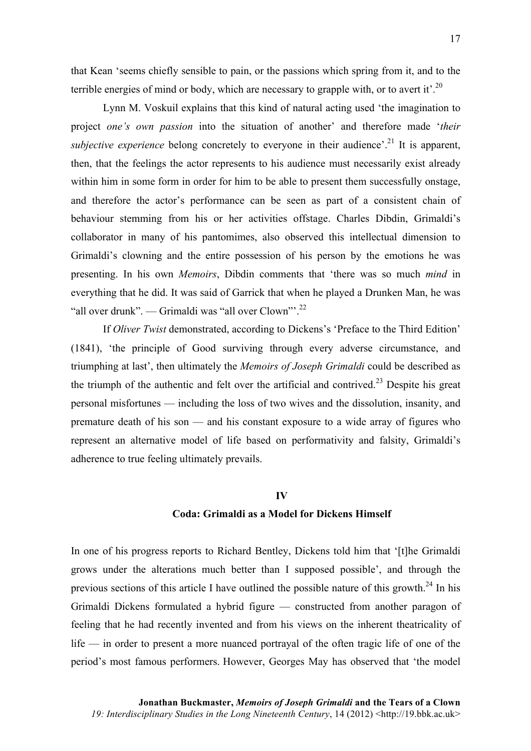that Kean 'seems chiefly sensible to pain, or the passions which spring from it, and to the terrible energies of mind or body, which are necessary to grapple with, or to avert it'.<sup>20</sup>

Lynn M. Voskuil explains that this kind of natural acting used 'the imagination to project *one's own passion* into the situation of another' and therefore made '*their subjective experience* belong concretely to everyone in their audience<sup>' 21</sup> It is apparent, then, that the feelings the actor represents to his audience must necessarily exist already within him in some form in order for him to be able to present them successfully onstage, and therefore the actor's performance can be seen as part of a consistent chain of behaviour stemming from his or her activities offstage. Charles Dibdin, Grimaldi's collaborator in many of his pantomimes, also observed this intellectual dimension to Grimaldi's clowning and the entire possession of his person by the emotions he was presenting. In his own *Memoirs*, Dibdin comments that 'there was so much *mind* in everything that he did. It was said of Garrick that when he played a Drunken Man, he was "all over drunk". — Grimaldi was "all over Clown"'.<sup>22</sup>

If *Oliver Twist* demonstrated, according to Dickens's 'Preface to the Third Edition' (1841), 'the principle of Good surviving through every adverse circumstance, and triumphing at last', then ultimately the *Memoirs of Joseph Grimaldi* could be described as the triumph of the authentic and felt over the artificial and contrived.<sup>23</sup> Despite his great personal misfortunes — including the loss of two wives and the dissolution, insanity, and premature death of his son — and his constant exposure to a wide array of figures who represent an alternative model of life based on performativity and falsity, Grimaldi's adherence to true feeling ultimately prevails.

#### **IV**

### **Coda: Grimaldi as a Model for Dickens Himself**

In one of his progress reports to Richard Bentley, Dickens told him that '[t]he Grimaldi grows under the alterations much better than I supposed possible', and through the previous sections of this article I have outlined the possible nature of this growth.24 In his Grimaldi Dickens formulated a hybrid figure — constructed from another paragon of feeling that he had recently invented and from his views on the inherent theatricality of life — in order to present a more nuanced portrayal of the often tragic life of one of the period's most famous performers. However, Georges May has observed that 'the model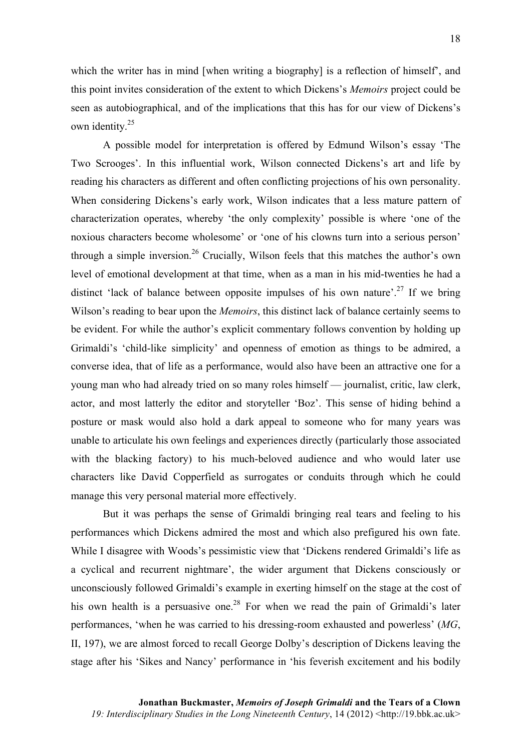which the writer has in mind [when writing a biography] is a reflection of himself', and this point invites consideration of the extent to which Dickens's *Memoirs* project could be seen as autobiographical, and of the implications that this has for our view of Dickens's own identity.<sup>25</sup>

A possible model for interpretation is offered by Edmund Wilson's essay 'The Two Scrooges'. In this influential work, Wilson connected Dickens's art and life by reading his characters as different and often conflicting projections of his own personality. When considering Dickens's early work, Wilson indicates that a less mature pattern of characterization operates, whereby 'the only complexity' possible is where 'one of the noxious characters become wholesome' or 'one of his clowns turn into a serious person' through a simple inversion.<sup>26</sup> Crucially, Wilson feels that this matches the author's own level of emotional development at that time, when as a man in his mid-twenties he had a distinct 'lack of balance between opposite impulses of his own nature'.<sup>27</sup> If we bring Wilson's reading to bear upon the *Memoirs*, this distinct lack of balance certainly seems to be evident. For while the author's explicit commentary follows convention by holding up Grimaldi's 'child-like simplicity' and openness of emotion as things to be admired, a converse idea, that of life as a performance, would also have been an attractive one for a young man who had already tried on so many roles himself — journalist, critic, law clerk, actor, and most latterly the editor and storyteller 'Boz'. This sense of hiding behind a posture or mask would also hold a dark appeal to someone who for many years was unable to articulate his own feelings and experiences directly (particularly those associated with the blacking factory) to his much-beloved audience and who would later use characters like David Copperfield as surrogates or conduits through which he could manage this very personal material more effectively.

But it was perhaps the sense of Grimaldi bringing real tears and feeling to his performances which Dickens admired the most and which also prefigured his own fate. While I disagree with Woods's pessimistic view that 'Dickens rendered Grimaldi's life as a cyclical and recurrent nightmare', the wider argument that Dickens consciously or unconsciously followed Grimaldi's example in exerting himself on the stage at the cost of his own health is a persuasive one.<sup>28</sup> For when we read the pain of Grimaldi's later performances, 'when he was carried to his dressing-room exhausted and powerless' (*MG*, II, 197), we are almost forced to recall George Dolby's description of Dickens leaving the stage after his 'Sikes and Nancy' performance in 'his feverish excitement and his bodily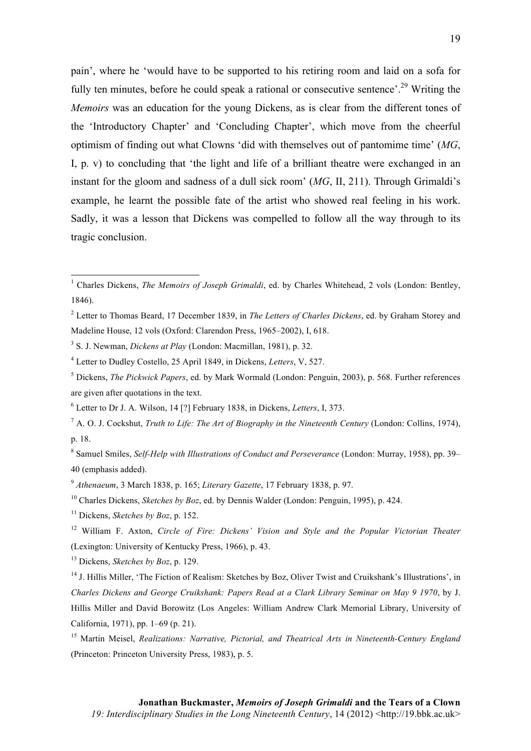pain', where he 'would have to be supported to his retiring room and laid on a sofa for fully ten minutes, before he could speak a rational or consecutive sentence'.<sup>29</sup> Writing the *Memoirs* was an education for the young Dickens, as is clear from the different tones of the 'Introductory Chapter' and 'Concluding Chapter', which move from the cheerful optimism of finding out what Clowns 'did with themselves out of pantomime time' (*MG*, I, p. v) to concluding that 'the light and life of a brilliant theatre were exchanged in an instant for the gloom and sadness of a dull sick room' (*MG*, II, 211). Through Grimaldi's example, he learnt the possible fate of the artist who showed real feeling in his work. Sadly, it was a lesson that Dickens was compelled to follow all the way through to its tragic conclusion.

<sup>8</sup> Samuel Smiles, *Self-Help with Illustrations of Conduct and Perseverance* (London: Murray, 1958), pp. 39– 40 (emphasis added).

<u> 1989 - Johann Stein, fransk politik (d. 1989)</u>

<sup>13</sup> Dickens, *Sketches by Boz*, p. 129.

<sup>&</sup>lt;sup>1</sup> Charles Dickens, *The Memoirs of Joseph Grimaldi*, ed. by Charles Whitehead, 2 vols (London: Bentley, 1846).

<sup>2</sup> Letter to Thomas Beard, 17 December 1839, in *The Letters of Charles Dickens*, ed. by Graham Storey and Madeline House, 12 vols (Oxford: Clarendon Press, 1965–2002), I, 618.

<sup>3</sup> S. J. Newman, *Dickens at Play* (London: Macmillan, 1981), p. 32.

<sup>4</sup> Letter to Dudley Costello, 25 April 1849, in Dickens, *Letters*, V, 527.

<sup>5</sup> Dickens, *The Pickwick Papers*, ed. by Mark Wormald (London: Penguin, 2003), p. 568. Further references are given after quotations in the text.

<sup>6</sup> Letter to Dr J. A. Wilson, 14 [?] February 1838, in Dickens, *Letters*, I, 373.

 $^7$  A. O. J. Cockshut, *Truth to Life: The Art of Biography in the Nineteenth Century* (London: Collins, 1974), p. 18.

<sup>9</sup> *Athenaeum*, 3 March 1838, p. 165; *Literary Gazette*, 17 February 1838, p. 97.

<sup>10</sup> Charles Dickens, *Sketches by Boz*, ed. by Dennis Walder (London: Penguin, 1995), p. 424.

<sup>11</sup> Dickens, *Sketches by Boz*, p. 152.

<sup>12</sup> William F. Axton, *Circle of Fire: Dickens' Vision and Style and the Popular Victorian Theater* (Lexington: University of Kentucky Press, 1966), p. 43.

<sup>&</sup>lt;sup>14</sup> J. Hillis Miller, 'The Fiction of Realism: Sketches by Boz, Oliver Twist and Cruikshank's Illustrations', in *Charles Dickens and George Cruikshank: Papers Read at a Clark Library Seminar on May 9 1970*, by J. Hillis Miller and David Borowitz (Los Angeles: William Andrew Clark Memorial Library, University of California, 1971), pp. 1–69 (p. 21).

<sup>15</sup> Martin Meisel, *Realizations: Narrative, Pictorial, and Theatrical Arts in Nineteenth-Century England* (Princeton: Princeton University Press, 1983), p. 5.